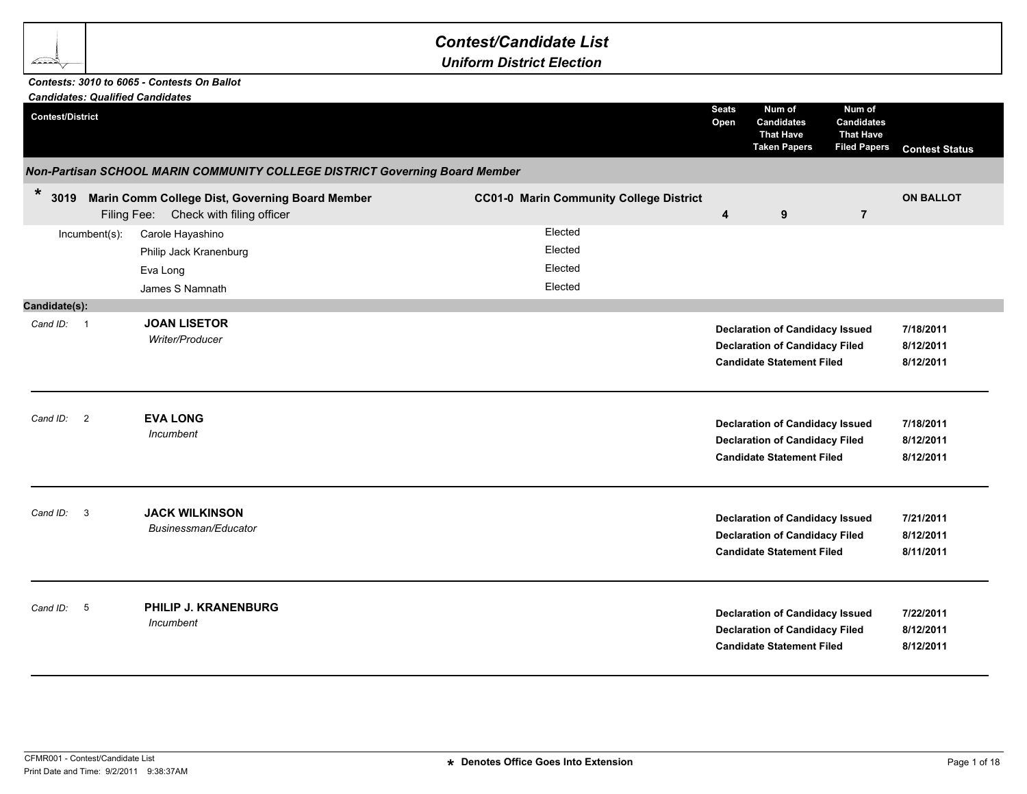## *Contest/Candidate List*

*Uniform District Election*

## *Contests: 3010 to 6065 - Contests On Ballot*

<u> TSS </u>

| <b>Candidates: Qualified Candidates</b> |                                                                                          |                                                |                         |                                                                                                                     |                                                                        |                                     |
|-----------------------------------------|------------------------------------------------------------------------------------------|------------------------------------------------|-------------------------|---------------------------------------------------------------------------------------------------------------------|------------------------------------------------------------------------|-------------------------------------|
| <b>Contest/District</b>                 |                                                                                          |                                                | <b>Seats</b><br>Open    | Num of<br><b>Candidates</b><br><b>That Have</b><br><b>Taken Papers</b>                                              | Num of<br><b>Candidates</b><br><b>That Have</b><br><b>Filed Papers</b> | <b>Contest Status</b>               |
|                                         | Non-Partisan SCHOOL MARIN COMMUNITY COLLEGE DISTRICT Governing Board Member              |                                                |                         |                                                                                                                     |                                                                        |                                     |
| $\star$<br>3019                         | Marin Comm College Dist, Governing Board Member<br>Filing Fee: Check with filing officer | <b>CC01-0 Marin Community College District</b> | $\overline{\mathbf{4}}$ | 9                                                                                                                   | $\overline{7}$                                                         | <b>ON BALLOT</b>                    |
| Incumbent(s):                           | Carole Hayashino<br>Philip Jack Kranenburg<br>Eva Long<br>James S Namnath                | Elected<br>Elected<br>Elected<br>Elected       |                         |                                                                                                                     |                                                                        |                                     |
| Candidate(s):                           |                                                                                          |                                                |                         |                                                                                                                     |                                                                        |                                     |
| Cand ID: 1                              | <b>JOAN LISETOR</b><br>Writer/Producer                                                   |                                                |                         | <b>Declaration of Candidacy Issued</b><br><b>Declaration of Candidacy Filed</b><br><b>Candidate Statement Filed</b> |                                                                        | 7/18/2011<br>8/12/2011<br>8/12/2011 |
| Cand ID: 2                              | <b>EVA LONG</b><br>Incumbent                                                             |                                                |                         | <b>Declaration of Candidacy Issued</b><br><b>Declaration of Candidacy Filed</b><br><b>Candidate Statement Filed</b> |                                                                        | 7/18/2011<br>8/12/2011<br>8/12/2011 |
| $\overline{\mathbf{3}}$<br>Cand ID:     | <b>JACK WILKINSON</b><br>Businessman/Educator                                            |                                                |                         | <b>Declaration of Candidacy Issued</b><br><b>Declaration of Candidacy Filed</b><br><b>Candidate Statement Filed</b> |                                                                        | 7/21/2011<br>8/12/2011<br>8/11/2011 |
| Cand ID: 5                              | PHILIP J. KRANENBURG<br>Incumbent                                                        |                                                |                         | <b>Declaration of Candidacy Issued</b><br><b>Declaration of Candidacy Filed</b><br><b>Candidate Statement Filed</b> |                                                                        | 7/22/2011<br>8/12/2011<br>8/12/2011 |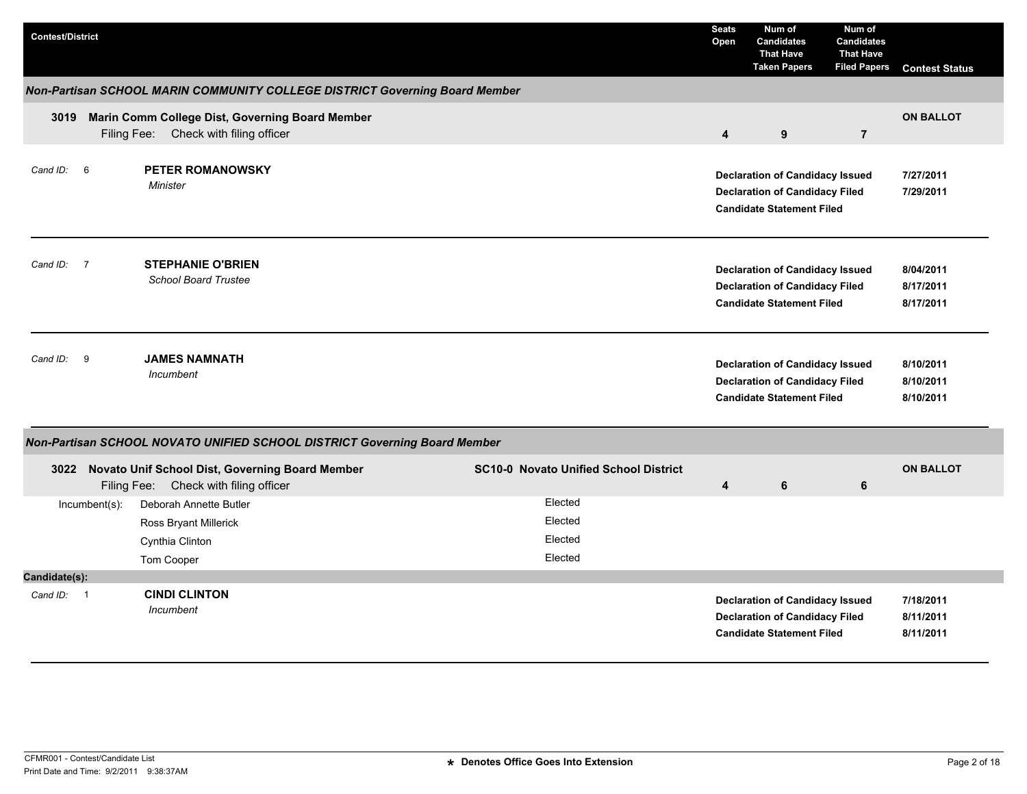| <b>Contest/District</b> |                                                                                               |                                              | <b>Seats</b><br>Open    | Num of<br><b>Candidates</b><br><b>That Have</b><br><b>Taken Papers</b>                                              | Num of<br><b>Candidates</b><br><b>That Have</b><br><b>Filed Papers</b> | <b>Contest Status</b>               |
|-------------------------|-----------------------------------------------------------------------------------------------|----------------------------------------------|-------------------------|---------------------------------------------------------------------------------------------------------------------|------------------------------------------------------------------------|-------------------------------------|
|                         | Non-Partisan SCHOOL MARIN COMMUNITY COLLEGE DISTRICT Governing Board Member                   |                                              |                         |                                                                                                                     |                                                                        |                                     |
|                         | 3019 Marin Comm College Dist, Governing Board Member<br>Filing Fee: Check with filing officer |                                              | $\overline{\mathbf{4}}$ | 9                                                                                                                   | $\overline{7}$                                                         | <b>ON BALLOT</b>                    |
| Cand ID:<br>6           | <b>PETER ROMANOWSKY</b><br>Minister                                                           |                                              |                         | <b>Declaration of Candidacy Issued</b><br><b>Declaration of Candidacy Filed</b><br><b>Candidate Statement Filed</b> |                                                                        | 7/27/2011<br>7/29/2011              |
| Cand ID: 7              | <b>STEPHANIE O'BRIEN</b><br><b>School Board Trustee</b>                                       |                                              |                         | <b>Declaration of Candidacy Issued</b><br><b>Declaration of Candidacy Filed</b><br><b>Candidate Statement Filed</b> |                                                                        | 8/04/2011<br>8/17/2011<br>8/17/2011 |
| 9<br>Cand ID:           | <b>JAMES NAMNATH</b><br><i>Incumbent</i>                                                      |                                              |                         | <b>Declaration of Candidacy Issued</b><br><b>Declaration of Candidacy Filed</b><br><b>Candidate Statement Filed</b> |                                                                        | 8/10/2011<br>8/10/2011<br>8/10/2011 |
|                         | Non-Partisan SCHOOL NOVATO UNIFIED SCHOOL DISTRICT Governing Board Member                     |                                              |                         |                                                                                                                     |                                                                        |                                     |
| 3022                    | Novato Unif School Dist, Governing Board Member<br>Filing Fee: Check with filing officer      | <b>SC10-0 Novato Unified School District</b> | $\overline{4}$          | 6                                                                                                                   | 6                                                                      | <b>ON BALLOT</b>                    |
| $Incumbent(s)$ :        | Deborah Annette Butler<br>Ross Bryant Millerick<br>Cynthia Clinton<br>Tom Cooper              | Elected<br>Elected<br>Elected<br>Elected     |                         |                                                                                                                     |                                                                        |                                     |
| Candidate(s):           |                                                                                               |                                              |                         |                                                                                                                     |                                                                        |                                     |
| Cand ID: 1              | <b>CINDI CLINTON</b><br>Incumbent                                                             |                                              |                         | <b>Declaration of Candidacy Issued</b><br><b>Declaration of Candidacy Filed</b><br><b>Candidate Statement Filed</b> |                                                                        | 7/18/2011<br>8/11/2011<br>8/11/2011 |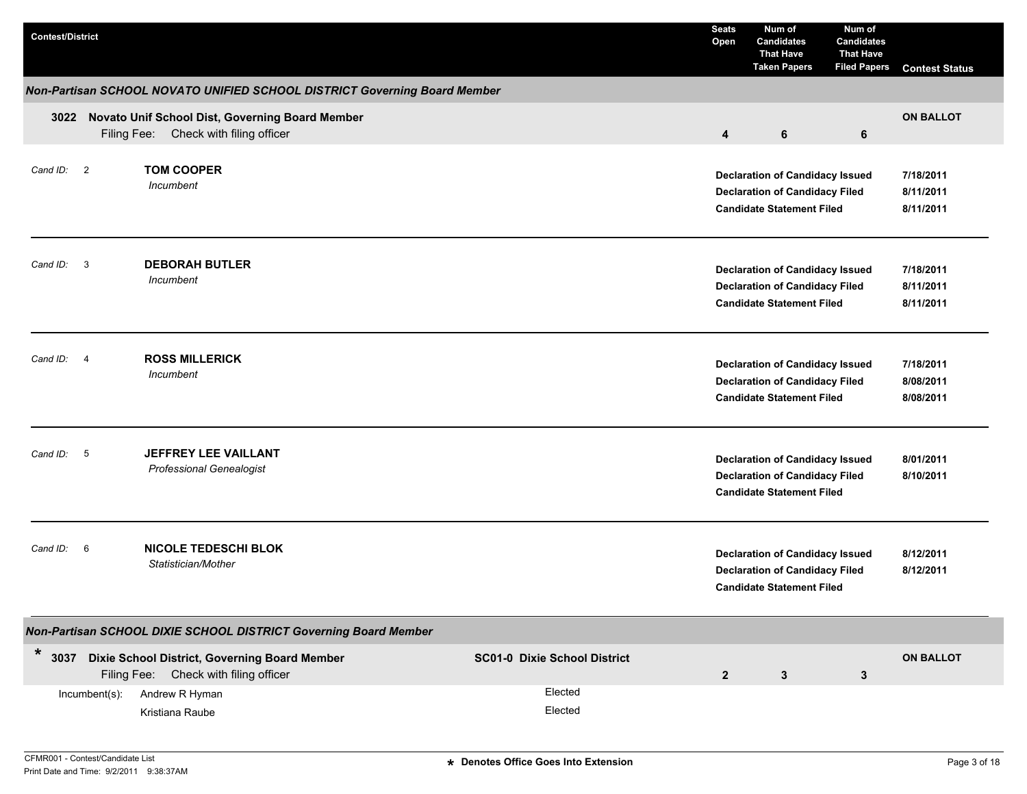| <b>Contest/District</b> |                |                                                                                          |                                     | <b>Seats</b><br>Open | Num of<br><b>Candidates</b><br><b>That Have</b><br><b>Taken Papers</b>                                              | Num of<br><b>Candidates</b><br><b>That Have</b><br><b>Filed Papers</b> | <b>Contest Status</b>               |
|-------------------------|----------------|------------------------------------------------------------------------------------------|-------------------------------------|----------------------|---------------------------------------------------------------------------------------------------------------------|------------------------------------------------------------------------|-------------------------------------|
|                         |                | Non-Partisan SCHOOL NOVATO UNIFIED SCHOOL DISTRICT Governing Board Member                |                                     |                      |                                                                                                                     |                                                                        |                                     |
| 3022                    |                | Novato Unif School Dist, Governing Board Member<br>Filing Fee: Check with filing officer |                                     | 4                    | 6                                                                                                                   | 6                                                                      | <b>ON BALLOT</b>                    |
| Cand ID: 2              |                | <b>TOM COOPER</b><br>Incumbent                                                           |                                     |                      | <b>Declaration of Candidacy Issued</b><br><b>Declaration of Candidacy Filed</b><br><b>Candidate Statement Filed</b> |                                                                        | 7/18/2011<br>8/11/2011<br>8/11/2011 |
| Cand ID: 3              |                | <b>DEBORAH BUTLER</b><br>Incumbent                                                       |                                     |                      | <b>Declaration of Candidacy Issued</b><br><b>Declaration of Candidacy Filed</b><br><b>Candidate Statement Filed</b> |                                                                        | 7/18/2011<br>8/11/2011<br>8/11/2011 |
| Cand ID:                | $\overline{4}$ | <b>ROSS MILLERICK</b><br>Incumbent                                                       |                                     |                      | <b>Declaration of Candidacy Issued</b><br><b>Declaration of Candidacy Filed</b><br><b>Candidate Statement Filed</b> |                                                                        | 7/18/2011<br>8/08/2011<br>8/08/2011 |
| Cand ID: 5              |                | <b>JEFFREY LEE VAILLANT</b><br><b>Professional Genealogist</b>                           |                                     |                      | <b>Declaration of Candidacy Issued</b><br><b>Declaration of Candidacy Filed</b><br><b>Candidate Statement Filed</b> |                                                                        | 8/01/2011<br>8/10/2011              |
| Cand ID:                | 6              | <b>NICOLE TEDESCHI BLOK</b><br>Statistician/Mother                                       |                                     |                      | <b>Declaration of Candidacy Issued</b><br><b>Declaration of Candidacy Filed</b><br><b>Candidate Statement Filed</b> |                                                                        | 8/12/2011<br>8/12/2011              |
|                         |                | Non-Partisan SCHOOL DIXIE SCHOOL DISTRICT Governing Board Member                         |                                     |                      |                                                                                                                     |                                                                        |                                     |
| $*$ 3037                |                | Dixie School District, Governing Board Member<br>Filing Fee: Check with filing officer   | <b>SC01-0 Dixie School District</b> | $\mathbf{2}$         | $\mathbf{3}$                                                                                                        | $\mathbf{3}$                                                           | <b>ON BALLOT</b>                    |
|                         | Incumbent(s):  | Andrew R Hyman<br>Kristiana Raube                                                        | Elected<br>Elected                  |                      |                                                                                                                     |                                                                        |                                     |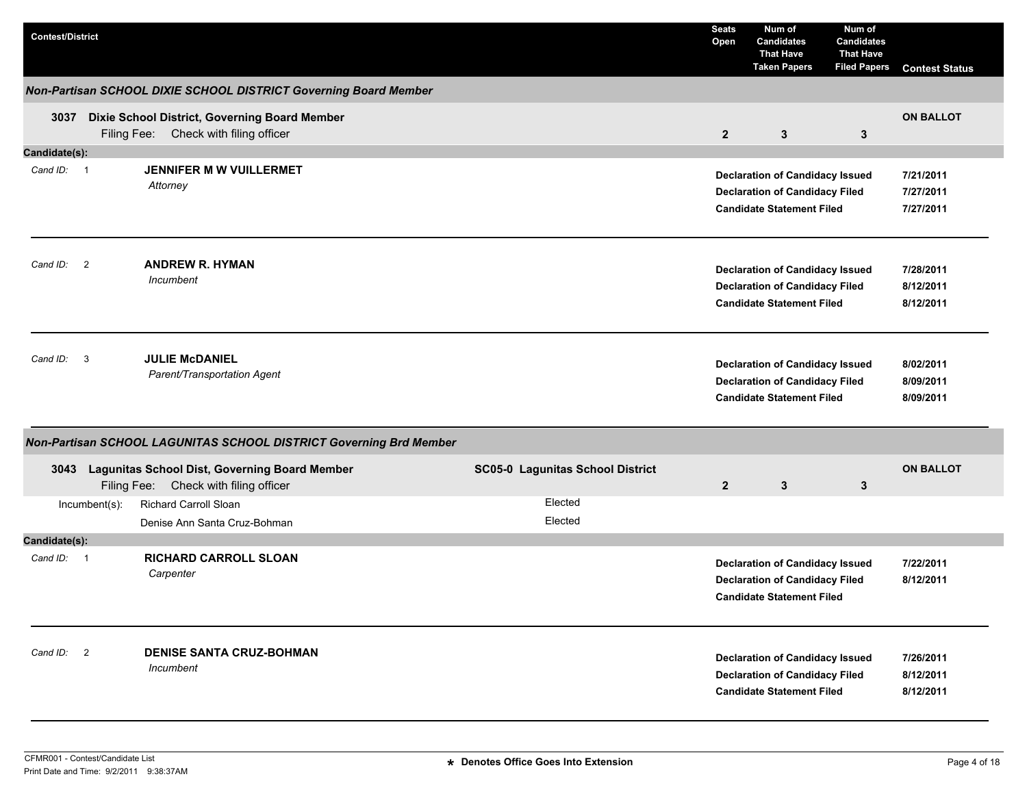| <b>Contest/District</b> |               |                                                                                             |                                  | <b>Seats</b><br>Open | Num of<br><b>Candidates</b><br><b>That Have</b><br><b>Taken Papers</b>                                              | Num of<br><b>Candidates</b><br><b>That Have</b><br><b>Filed Papers</b> | <b>Contest Status</b>               |
|-------------------------|---------------|---------------------------------------------------------------------------------------------|----------------------------------|----------------------|---------------------------------------------------------------------------------------------------------------------|------------------------------------------------------------------------|-------------------------------------|
|                         |               | Non-Partisan SCHOOL DIXIE SCHOOL DISTRICT Governing Board Member                            |                                  |                      |                                                                                                                     |                                                                        |                                     |
| 3037                    |               | Dixie School District, Governing Board Member<br>Filing Fee: Check with filing officer      |                                  | $\mathbf{2}$         | 3                                                                                                                   | 3                                                                      | <b>ON BALLOT</b>                    |
| Candidate(s):           |               |                                                                                             |                                  |                      |                                                                                                                     |                                                                        |                                     |
| Cand ID: 1              |               | JENNIFER M W VUILLERMET<br>Attorney                                                         |                                  |                      | <b>Declaration of Candidacy Issued</b><br><b>Declaration of Candidacy Filed</b><br><b>Candidate Statement Filed</b> |                                                                        | 7/21/2011<br>7/27/2011<br>7/27/2011 |
| Cand ID: 2              |               | <b>ANDREW R. HYMAN</b><br>Incumbent                                                         |                                  |                      | <b>Declaration of Candidacy Issued</b><br><b>Declaration of Candidacy Filed</b><br><b>Candidate Statement Filed</b> |                                                                        | 7/28/2011<br>8/12/2011<br>8/12/2011 |
| Cand ID: 3              |               | <b>JULIE McDANIEL</b><br>Parent/Transportation Agent                                        |                                  |                      | <b>Declaration of Candidacy Issued</b><br><b>Declaration of Candidacy Filed</b><br><b>Candidate Statement Filed</b> |                                                                        | 8/02/2011<br>8/09/2011<br>8/09/2011 |
|                         |               | Non-Partisan SCHOOL LAGUNITAS SCHOOL DISTRICT Governing Brd Member                          |                                  |                      |                                                                                                                     |                                                                        |                                     |
|                         |               | 3043 Lagunitas School Dist, Governing Board Member<br>Filing Fee: Check with filing officer | SC05-0 Lagunitas School District | $\overline{2}$       | 3                                                                                                                   | 3                                                                      | <b>ON BALLOT</b>                    |
|                         | Incumbent(s): | <b>Richard Carroll Sloan</b>                                                                | Elected                          |                      |                                                                                                                     |                                                                        |                                     |
|                         |               | Denise Ann Santa Cruz-Bohman                                                                | Elected                          |                      |                                                                                                                     |                                                                        |                                     |
| Candidate(s):           |               |                                                                                             |                                  |                      |                                                                                                                     |                                                                        |                                     |
| Cand ID: 1              |               | <b>RICHARD CARROLL SLOAN</b><br>Carpenter                                                   |                                  |                      | <b>Declaration of Candidacy Issued</b><br><b>Declaration of Candidacy Filed</b><br><b>Candidate Statement Filed</b> |                                                                        | 7/22/2011<br>8/12/2011              |
| Cand ID: 2              |               | <b>DENISE SANTA CRUZ-BOHMAN</b><br>Incumbent                                                |                                  |                      | <b>Declaration of Candidacy Issued</b><br><b>Declaration of Candidacy Filed</b><br><b>Candidate Statement Filed</b> |                                                                        | 7/26/2011<br>8/12/2011<br>8/12/2011 |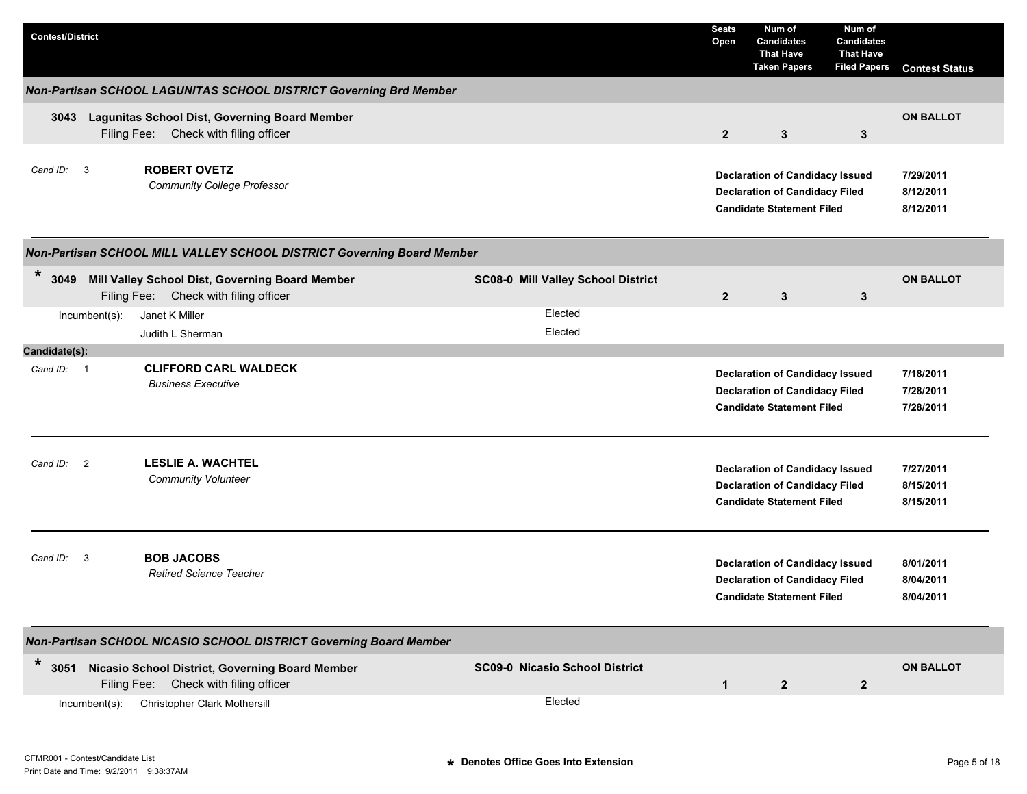| <b>Contest/District</b>                                                                                    |                                       | <b>Seats</b><br>Open | Num of<br><b>Candidates</b><br><b>That Have</b><br><b>Taken Papers</b>                                              | Num of<br><b>Candidates</b><br><b>That Have</b><br><b>Filed Papers</b> | <b>Contest Status</b>               |
|------------------------------------------------------------------------------------------------------------|---------------------------------------|----------------------|---------------------------------------------------------------------------------------------------------------------|------------------------------------------------------------------------|-------------------------------------|
| Non-Partisan SCHOOL LAGUNITAS SCHOOL DISTRICT Governing Brd Member                                         |                                       |                      |                                                                                                                     |                                                                        |                                     |
| Lagunitas School Dist, Governing Board Member<br>3043<br>Filing Fee: Check with filing officer             |                                       | $\mathbf{2}$         | $\mathbf{3}$                                                                                                        | 3                                                                      | <b>ON BALLOT</b>                    |
| <b>ROBERT OVETZ</b><br>Cand ID: 3<br><b>Community College Professor</b>                                    |                                       |                      | <b>Declaration of Candidacy Issued</b><br><b>Declaration of Candidacy Filed</b><br><b>Candidate Statement Filed</b> |                                                                        | 7/29/2011<br>8/12/2011<br>8/12/2011 |
| Non-Partisan SCHOOL MILL VALLEY SCHOOL DISTRICT Governing Board Member                                     |                                       |                      |                                                                                                                     |                                                                        |                                     |
| $\ast$<br>3049<br>Mill Valley School Dist, Governing Board Member<br>Filing Fee: Check with filing officer | SC08-0 Mill Valley School District    | $\overline{2}$       | 3                                                                                                                   | 3                                                                      | <b>ON BALLOT</b>                    |
| Janet K Miller<br>$Incumbent(s)$ :<br>Judith L Sherman                                                     | Elected<br>Elected                    |                      |                                                                                                                     |                                                                        |                                     |
| Candidate(s):                                                                                              |                                       |                      |                                                                                                                     |                                                                        |                                     |
| <b>CLIFFORD CARL WALDECK</b><br>Cand ID: 1<br><b>Business Executive</b>                                    |                                       |                      | <b>Declaration of Candidacy Issued</b><br><b>Declaration of Candidacy Filed</b><br><b>Candidate Statement Filed</b> |                                                                        | 7/18/2011<br>7/28/2011<br>7/28/2011 |
| $\overline{2}$<br><b>LESLIE A. WACHTEL</b><br>Cand ID:<br><b>Community Volunteer</b>                       |                                       |                      | <b>Declaration of Candidacy Issued</b><br><b>Declaration of Candidacy Filed</b><br><b>Candidate Statement Filed</b> |                                                                        | 7/27/2011<br>8/15/2011<br>8/15/2011 |
| <b>BOB JACOBS</b><br>Cand $ID: 3$<br><b>Retired Science Teacher</b>                                        |                                       |                      | <b>Declaration of Candidacy Issued</b><br><b>Declaration of Candidacy Filed</b><br><b>Candidate Statement Filed</b> |                                                                        | 8/01/2011<br>8/04/2011<br>8/04/2011 |
| Non-Partisan SCHOOL NICASIO SCHOOL DISTRICT Governing Board Member                                         |                                       |                      |                                                                                                                     |                                                                        |                                     |
| $\ast$<br>3051 Nicasio School District, Governing Board Member<br>Filing Fee: Check with filing officer    | <b>SC09-0 Nicasio School District</b> | $\mathbf{1}$         | $\mathbf{2}$                                                                                                        | $\mathbf{2}$                                                           | <b>ON BALLOT</b>                    |
| <b>Christopher Clark Mothersill</b><br>$Incumbent(s)$ :                                                    | Elected                               |                      |                                                                                                                     |                                                                        |                                     |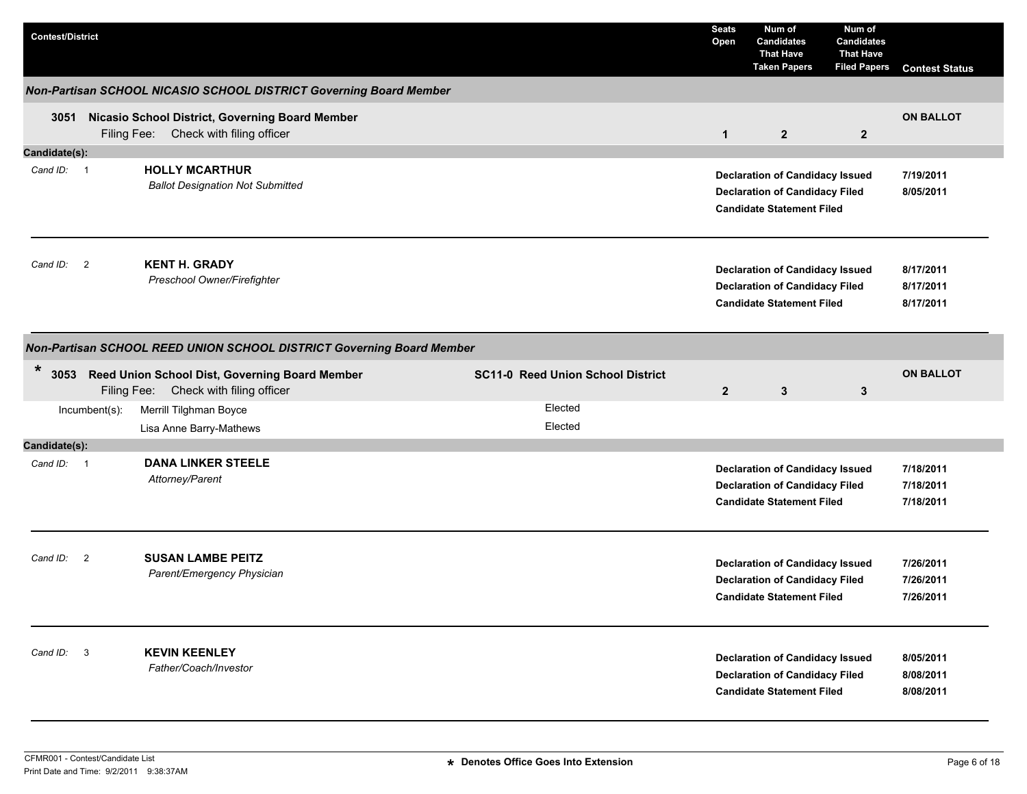| <b>Contest/District</b> |               |                                                                                               |                                          | <b>Seats</b><br>Open | Num of<br><b>Candidates</b><br><b>That Have</b><br><b>Taken Papers</b>                                              | Num of<br><b>Candidates</b><br><b>That Have</b><br><b>Filed Papers</b> | <b>Contest Status</b>               |
|-------------------------|---------------|-----------------------------------------------------------------------------------------------|------------------------------------------|----------------------|---------------------------------------------------------------------------------------------------------------------|------------------------------------------------------------------------|-------------------------------------|
|                         |               | Non-Partisan SCHOOL NICASIO SCHOOL DISTRICT Governing Board Member                            |                                          |                      |                                                                                                                     |                                                                        |                                     |
|                         |               | 3051 Nicasio School District, Governing Board Member<br>Filing Fee: Check with filing officer |                                          | $\mathbf{1}$         | $\overline{2}$                                                                                                      | $\overline{2}$                                                         | <b>ON BALLOT</b>                    |
| Candidate(s):           |               |                                                                                               |                                          |                      |                                                                                                                     |                                                                        |                                     |
| Cand ID: 1              |               | <b>HOLLY MCARTHUR</b><br><b>Ballot Designation Not Submitted</b>                              |                                          |                      | <b>Declaration of Candidacy Issued</b><br><b>Declaration of Candidacy Filed</b><br><b>Candidate Statement Filed</b> |                                                                        | 7/19/2011<br>8/05/2011              |
| Cand ID: 2              |               | <b>KENT H. GRADY</b><br>Preschool Owner/Firefighter                                           |                                          |                      | <b>Declaration of Candidacy Issued</b><br><b>Declaration of Candidacy Filed</b><br><b>Candidate Statement Filed</b> |                                                                        | 8/17/2011<br>8/17/2011<br>8/17/2011 |
|                         |               | Non-Partisan SCHOOL REED UNION SCHOOL DISTRICT Governing Board Member                         |                                          |                      |                                                                                                                     |                                                                        |                                     |
| $\ast$<br>3053          |               | Reed Union School Dist, Governing Board Member<br>Filing Fee: Check with filing officer       | <b>SC11-0 Reed Union School District</b> | $\overline{2}$       | $\mathbf{3}$                                                                                                        | 3                                                                      | <b>ON BALLOT</b>                    |
|                         | Incumbent(s): | Merrill Tilghman Boyce<br>Lisa Anne Barry-Mathews                                             | Elected<br>Elected                       |                      |                                                                                                                     |                                                                        |                                     |
| Candidate(s):           |               |                                                                                               |                                          |                      |                                                                                                                     |                                                                        |                                     |
| Cand ID: 1              |               | <b>DANA LINKER STEELE</b><br>Attorney/Parent                                                  |                                          |                      | <b>Declaration of Candidacy Issued</b><br><b>Declaration of Candidacy Filed</b><br><b>Candidate Statement Filed</b> |                                                                        | 7/18/2011<br>7/18/2011<br>7/18/2011 |
| Cand ID: 2              |               | <b>SUSAN LAMBE PEITZ</b><br>Parent/Emergency Physician                                        |                                          |                      | <b>Declaration of Candidacy Issued</b><br><b>Declaration of Candidacy Filed</b><br><b>Candidate Statement Filed</b> |                                                                        | 7/26/2011<br>7/26/2011<br>7/26/2011 |
| Cand ID: 3              |               | <b>KEVIN KEENLEY</b><br>Father/Coach/Investor                                                 |                                          |                      | <b>Declaration of Candidacy Issued</b><br><b>Declaration of Candidacy Filed</b><br><b>Candidate Statement Filed</b> |                                                                        | 8/05/2011<br>8/08/2011<br>8/08/2011 |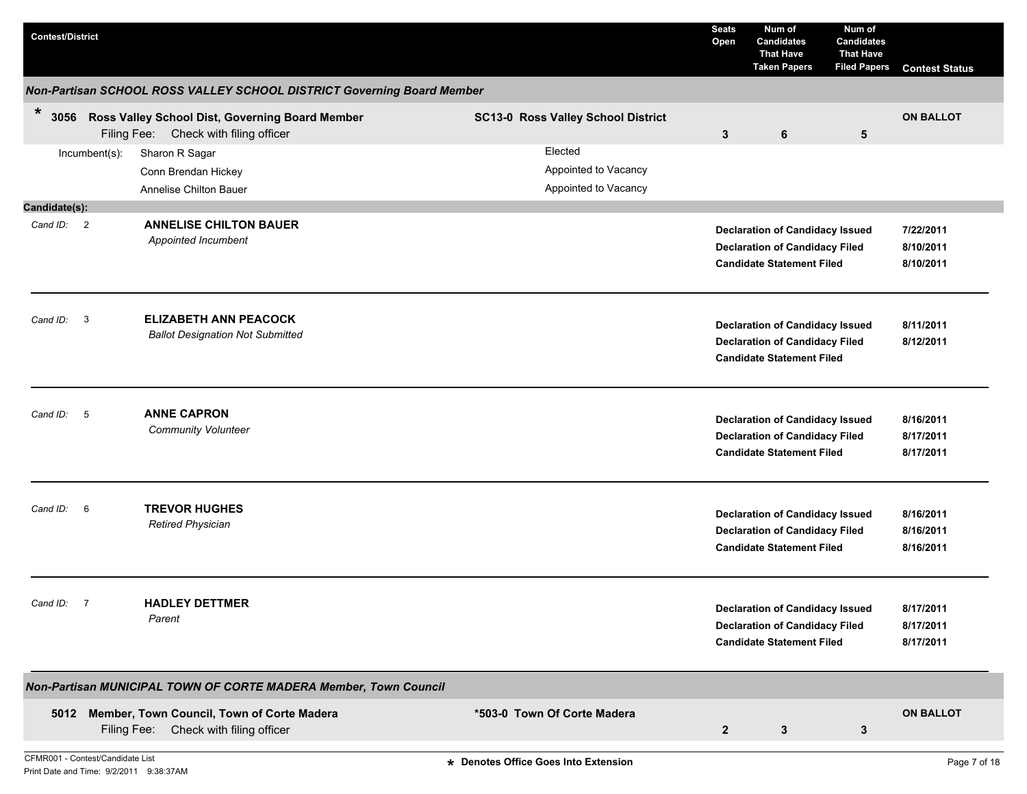| <b>Contest/District</b>          |                         |                                                                                          |                                                         | <b>Seats</b><br>Open    | Num of<br><b>Candidates</b><br><b>That Have</b><br><b>Taken Papers</b>                                              | Num of<br><b>Candidates</b><br><b>That Have</b><br><b>Filed Papers</b> | <b>Contest Status</b>               |
|----------------------------------|-------------------------|------------------------------------------------------------------------------------------|---------------------------------------------------------|-------------------------|---------------------------------------------------------------------------------------------------------------------|------------------------------------------------------------------------|-------------------------------------|
|                                  |                         | Non-Partisan SCHOOL ROSS VALLEY SCHOOL DISTRICT Governing Board Member                   |                                                         |                         |                                                                                                                     |                                                                        |                                     |
| $\ast$<br>3056                   |                         | Ross Valley School Dist, Governing Board Member<br>Filing Fee: Check with filing officer | <b>SC13-0 Ross Valley School District</b>               | $\mathbf{3}$            | 6                                                                                                                   | 5                                                                      | <b>ON BALLOT</b>                    |
|                                  | Incumbent(s):           | Sharon R Sagar<br>Conn Brendan Hickey<br>Annelise Chilton Bauer                          | Elected<br>Appointed to Vacancy<br>Appointed to Vacancy |                         |                                                                                                                     |                                                                        |                                     |
| Candidate(s):                    |                         |                                                                                          |                                                         |                         |                                                                                                                     |                                                                        |                                     |
| Cand ID: 2                       |                         | <b>ANNELISE CHILTON BAUER</b><br>Appointed Incumbent                                     |                                                         |                         | <b>Declaration of Candidacy Issued</b><br><b>Declaration of Candidacy Filed</b><br><b>Candidate Statement Filed</b> |                                                                        | 7/22/2011<br>8/10/2011<br>8/10/2011 |
| Cand ID:                         | $\overline{\mathbf{3}}$ | <b>ELIZABETH ANN PEACOCK</b><br><b>Ballot Designation Not Submitted</b>                  |                                                         |                         | <b>Declaration of Candidacy Issued</b><br><b>Declaration of Candidacy Filed</b><br><b>Candidate Statement Filed</b> |                                                                        | 8/11/2011<br>8/12/2011              |
| Cand ID: 5                       |                         | <b>ANNE CAPRON</b><br><b>Community Volunteer</b>                                         |                                                         |                         | <b>Declaration of Candidacy Issued</b><br><b>Declaration of Candidacy Filed</b><br><b>Candidate Statement Filed</b> |                                                                        | 8/16/2011<br>8/17/2011<br>8/17/2011 |
| Cand ID: 6                       |                         | <b>TREVOR HUGHES</b><br><b>Retired Physician</b>                                         |                                                         |                         | <b>Declaration of Candidacy Issued</b><br><b>Declaration of Candidacy Filed</b><br><b>Candidate Statement Filed</b> |                                                                        | 8/16/2011<br>8/16/2011<br>8/16/2011 |
| Cand ID: 7                       |                         | <b>HADLEY DETTMER</b><br>Parent                                                          |                                                         |                         | <b>Declaration of Candidacy Issued</b><br><b>Declaration of Candidacy Filed</b><br><b>Candidate Statement Filed</b> |                                                                        | 8/17/2011<br>8/17/2011<br>8/17/2011 |
|                                  |                         | Non-Partisan MUNICIPAL TOWN OF CORTE MADERA Member, Town Council                         |                                                         |                         |                                                                                                                     |                                                                        |                                     |
| CFMR001 - Contest/Candidate List | Filing Fee:             | 5012 Member, Town Council, Town of Corte Madera<br>Check with filing officer             | *503-0 Town Of Corte Madera                             | $\overline{\mathbf{2}}$ | $\mathbf{3}$                                                                                                        | 3                                                                      | <b>ON BALLOT</b>                    |
|                                  |                         |                                                                                          | * Denotes Office Goes Into Extension                    |                         |                                                                                                                     |                                                                        | Page 7 of 18                        |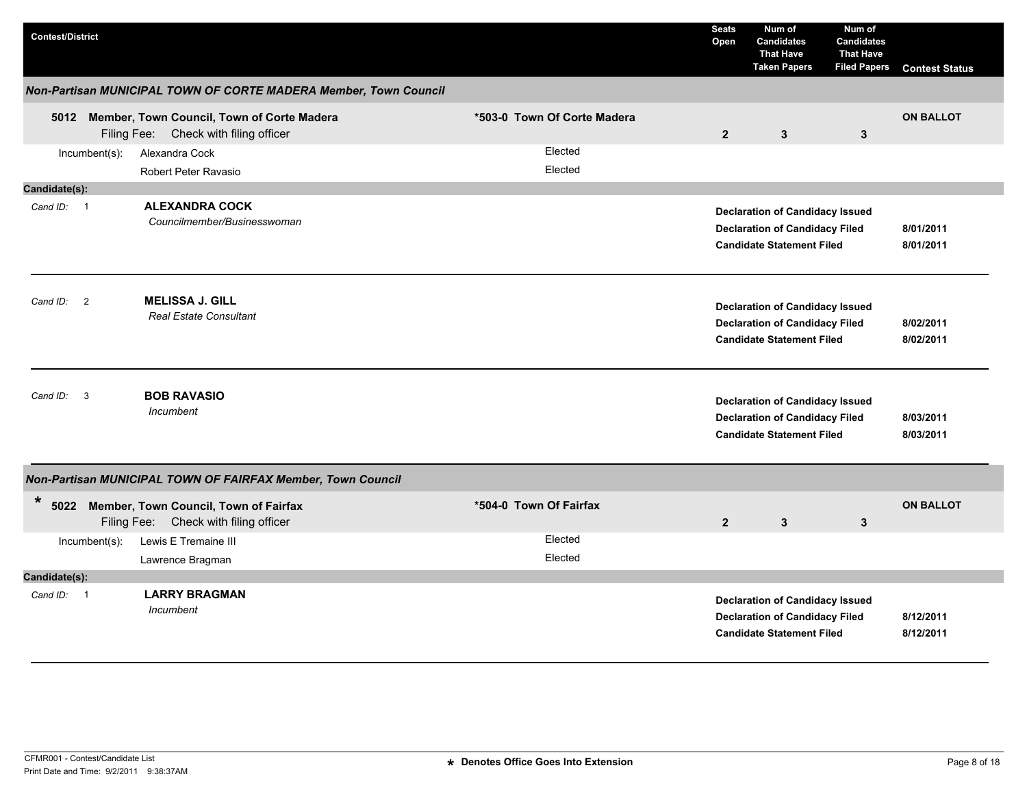| <b>Contest/District</b> |                  |                                                                                          |                        |                             | <b>Seats</b><br>Open | Num of<br><b>Candidates</b><br><b>That Have</b><br><b>Taken Papers</b>                                              | Num of<br><b>Candidates</b><br><b>That Have</b><br><b>Filed Papers</b> | <b>Contest Status</b>  |
|-------------------------|------------------|------------------------------------------------------------------------------------------|------------------------|-----------------------------|----------------------|---------------------------------------------------------------------------------------------------------------------|------------------------------------------------------------------------|------------------------|
|                         |                  | Non-Partisan MUNICIPAL TOWN OF CORTE MADERA Member, Town Council                         |                        |                             |                      |                                                                                                                     |                                                                        |                        |
|                         |                  | 5012 Member, Town Council, Town of Corte Madera<br>Filing Fee: Check with filing officer |                        | *503-0 Town Of Corte Madera | $\overline{2}$       | 3                                                                                                                   | $\mathbf{3}$                                                           | <b>ON BALLOT</b>       |
|                         | Incumbent(s):    | Alexandra Cock<br>Robert Peter Ravasio                                                   |                        | Elected<br>Elected          |                      |                                                                                                                     |                                                                        |                        |
| Candidate(s):           |                  |                                                                                          |                        |                             |                      |                                                                                                                     |                                                                        |                        |
| Cand ID: 1              |                  | <b>ALEXANDRA COCK</b><br>Councilmember/Businesswoman                                     |                        |                             |                      | <b>Declaration of Candidacy Issued</b><br><b>Declaration of Candidacy Filed</b><br><b>Candidate Statement Filed</b> |                                                                        | 8/01/2011<br>8/01/2011 |
| Cand ID: 2              |                  | <b>MELISSA J. GILL</b><br><b>Real Estate Consultant</b>                                  |                        |                             |                      | <b>Declaration of Candidacy Issued</b><br><b>Declaration of Candidacy Filed</b><br><b>Candidate Statement Filed</b> |                                                                        | 8/02/2011<br>8/02/2011 |
| Cand ID:                | 3                | <b>BOB RAVASIO</b><br>Incumbent                                                          |                        |                             |                      | <b>Declaration of Candidacy Issued</b><br><b>Declaration of Candidacy Filed</b><br><b>Candidate Statement Filed</b> |                                                                        | 8/03/2011<br>8/03/2011 |
|                         |                  | Non-Partisan MUNICIPAL TOWN OF FAIRFAX Member, Town Council                              |                        |                             |                      |                                                                                                                     |                                                                        |                        |
| *                       |                  | 5022 Member, Town Council, Town of Fairfax<br>Filing Fee: Check with filing officer      | *504-0 Town Of Fairfax |                             | $\overline{2}$       | 3                                                                                                                   | $\mathbf{3}$                                                           | <b>ON BALLOT</b>       |
|                         | $Incumbent(s)$ : | Lewis E Tremaine III                                                                     |                        | Elected                     |                      |                                                                                                                     |                                                                        |                        |
|                         |                  | Lawrence Bragman                                                                         |                        | Elected                     |                      |                                                                                                                     |                                                                        |                        |
| Candidate(s):           |                  |                                                                                          |                        |                             |                      |                                                                                                                     |                                                                        |                        |
| Cand ID: 1              |                  | <b>LARRY BRAGMAN</b><br>Incumbent                                                        |                        |                             |                      | <b>Declaration of Candidacy Issued</b><br><b>Declaration of Candidacy Filed</b><br><b>Candidate Statement Filed</b> |                                                                        | 8/12/2011<br>8/12/2011 |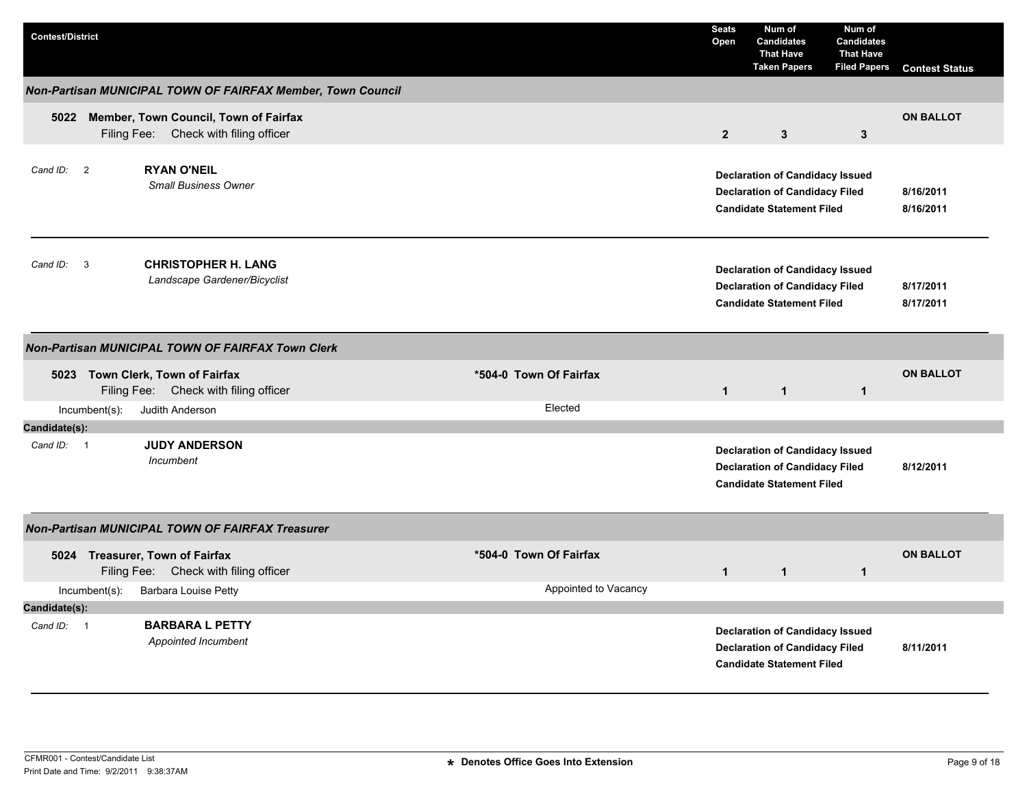| <b>Contest/District</b> |                  |                                                                                     |                        | <b>Seats</b><br>Open | Num of<br><b>Candidates</b><br><b>That Have</b><br><b>Taken Papers</b>                                              | Num of<br><b>Candidates</b><br><b>That Have</b><br><b>Filed Papers</b> | <b>Contest Status</b>  |
|-------------------------|------------------|-------------------------------------------------------------------------------------|------------------------|----------------------|---------------------------------------------------------------------------------------------------------------------|------------------------------------------------------------------------|------------------------|
|                         |                  | Non-Partisan MUNICIPAL TOWN OF FAIRFAX Member, Town Council                         |                        |                      |                                                                                                                     |                                                                        |                        |
|                         |                  | 5022 Member, Town Council, Town of Fairfax<br>Filing Fee: Check with filing officer |                        | $\overline{2}$       | $\mathbf{3}$                                                                                                        | $\mathbf{3}$                                                           | <b>ON BALLOT</b>       |
| Cand ID: 2              |                  | <b>RYAN O'NEIL</b><br><b>Small Business Owner</b>                                   |                        |                      | <b>Declaration of Candidacy Issued</b><br><b>Declaration of Candidacy Filed</b><br><b>Candidate Statement Filed</b> |                                                                        | 8/16/2011<br>8/16/2011 |
| Cand ID:                | $\mathbf{3}$     | <b>CHRISTOPHER H. LANG</b><br>Landscape Gardener/Bicyclist                          |                        |                      | <b>Declaration of Candidacy Issued</b><br><b>Declaration of Candidacy Filed</b><br><b>Candidate Statement Filed</b> |                                                                        | 8/17/2011<br>8/17/2011 |
|                         |                  | Non-Partisan MUNICIPAL TOWN OF FAIRFAX Town Clerk                                   |                        |                      |                                                                                                                     |                                                                        |                        |
|                         |                  | 5023 Town Clerk, Town of Fairfax<br>Filing Fee: Check with filing officer           | *504-0 Town Of Fairfax | $\mathbf{1}$         | $\mathbf{1}$                                                                                                        | $\mathbf{1}$                                                           | <b>ON BALLOT</b>       |
|                         | $Incumbent(s)$ : | Judith Anderson                                                                     | Elected                |                      |                                                                                                                     |                                                                        |                        |
| Candidate(s):           |                  |                                                                                     |                        |                      |                                                                                                                     |                                                                        |                        |
| Cand $ID: 1$            |                  | <b>JUDY ANDERSON</b><br>Incumbent                                                   |                        |                      | <b>Declaration of Candidacy Issued</b><br><b>Declaration of Candidacy Filed</b><br><b>Candidate Statement Filed</b> |                                                                        | 8/12/2011              |
|                         |                  | <b>Non-Partisan MUNICIPAL TOWN OF FAIRFAX Treasurer</b>                             |                        |                      |                                                                                                                     |                                                                        |                        |
|                         |                  | 5024 Treasurer, Town of Fairfax<br>Filing Fee: Check with filing officer            | *504-0 Town Of Fairfax | $\mathbf{1}$         | $\mathbf{1}$                                                                                                        | $\mathbf{1}$                                                           | <b>ON BALLOT</b>       |
|                         | Incumbent(s):    | <b>Barbara Louise Petty</b>                                                         | Appointed to Vacancy   |                      |                                                                                                                     |                                                                        |                        |
| Candidate(s):           |                  |                                                                                     |                        |                      |                                                                                                                     |                                                                        |                        |
| Cand ID: 1              |                  | <b>BARBARA L PETTY</b><br>Appointed Incumbent                                       |                        |                      | <b>Declaration of Candidacy Issued</b><br><b>Declaration of Candidacy Filed</b><br><b>Candidate Statement Filed</b> |                                                                        | 8/11/2011              |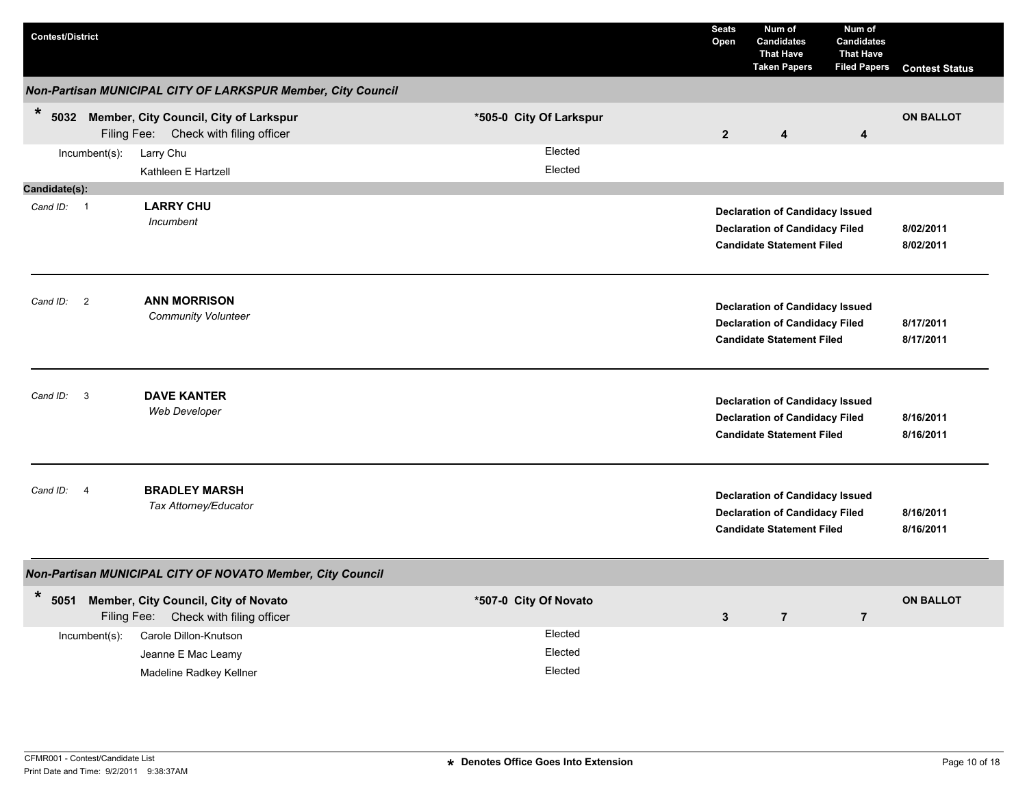| <b>Contest/District</b>             |                                                                                      |                         |                               | <b>Seats</b><br>Open                                                                                                | Num of<br><b>Candidates</b><br><b>That Have</b><br><b>Taken Papers</b>                                              | Num of<br><b>Candidates</b><br><b>That Have</b><br><b>Filed Papers</b> | <b>Contest Status</b>  |
|-------------------------------------|--------------------------------------------------------------------------------------|-------------------------|-------------------------------|---------------------------------------------------------------------------------------------------------------------|---------------------------------------------------------------------------------------------------------------------|------------------------------------------------------------------------|------------------------|
|                                     | Non-Partisan MUNICIPAL CITY OF LARKSPUR Member, City Council                         |                         |                               |                                                                                                                     |                                                                                                                     |                                                                        |                        |
| $\ast$                              | 5032 Member, City Council, City of Larkspur<br>Filing Fee: Check with filing officer | *505-0 City Of Larkspur |                               | $\overline{2}$                                                                                                      | $\overline{\mathbf{4}}$                                                                                             | 4                                                                      | <b>ON BALLOT</b>       |
| Incumbent(s):                       | Larry Chu<br>Kathleen E Hartzell                                                     |                         | Elected<br>Elected            |                                                                                                                     |                                                                                                                     |                                                                        |                        |
| Candidate(s):                       |                                                                                      |                         |                               |                                                                                                                     |                                                                                                                     |                                                                        |                        |
| Cand ID: 1                          | <b>LARRY CHU</b><br>Incumbent                                                        |                         |                               |                                                                                                                     | <b>Declaration of Candidacy Issued</b><br><b>Declaration of Candidacy Filed</b><br><b>Candidate Statement Filed</b> |                                                                        | 8/02/2011<br>8/02/2011 |
| Cand ID: 2                          | <b>ANN MORRISON</b><br><b>Community Volunteer</b>                                    |                         |                               | <b>Declaration of Candidacy Issued</b><br><b>Declaration of Candidacy Filed</b><br><b>Candidate Statement Filed</b> | 8/17/2011<br>8/17/2011                                                                                              |                                                                        |                        |
| $\overline{\mathbf{3}}$<br>Cand ID: | <b>DAVE KANTER</b><br><b>Web Developer</b>                                           |                         |                               |                                                                                                                     | <b>Declaration of Candidacy Issued</b><br><b>Declaration of Candidacy Filed</b><br><b>Candidate Statement Filed</b> |                                                                        | 8/16/2011<br>8/16/2011 |
| Cand ID:<br>$\overline{4}$          | <b>BRADLEY MARSH</b><br>Tax Attorney/Educator                                        |                         |                               |                                                                                                                     | <b>Declaration of Candidacy Issued</b><br><b>Declaration of Candidacy Filed</b><br><b>Candidate Statement Filed</b> |                                                                        | 8/16/2011<br>8/16/2011 |
|                                     | Non-Partisan MUNICIPAL CITY OF NOVATO Member, City Council                           |                         |                               |                                                                                                                     |                                                                                                                     |                                                                        |                        |
| $\ast$                              | 5051 Member, City Council, City of Novato<br>Filing Fee: Check with filing officer   | *507-0 City Of Novato   |                               | $\mathbf{3}$                                                                                                        | $\overline{7}$                                                                                                      | $\overline{7}$                                                         | <b>ON BALLOT</b>       |
| Incumbent(s):                       | Carole Dillon-Knutson<br>Jeanne E Mac Leamy<br>Madeline Radkey Kellner               |                         | Elected<br>Elected<br>Elected |                                                                                                                     |                                                                                                                     |                                                                        |                        |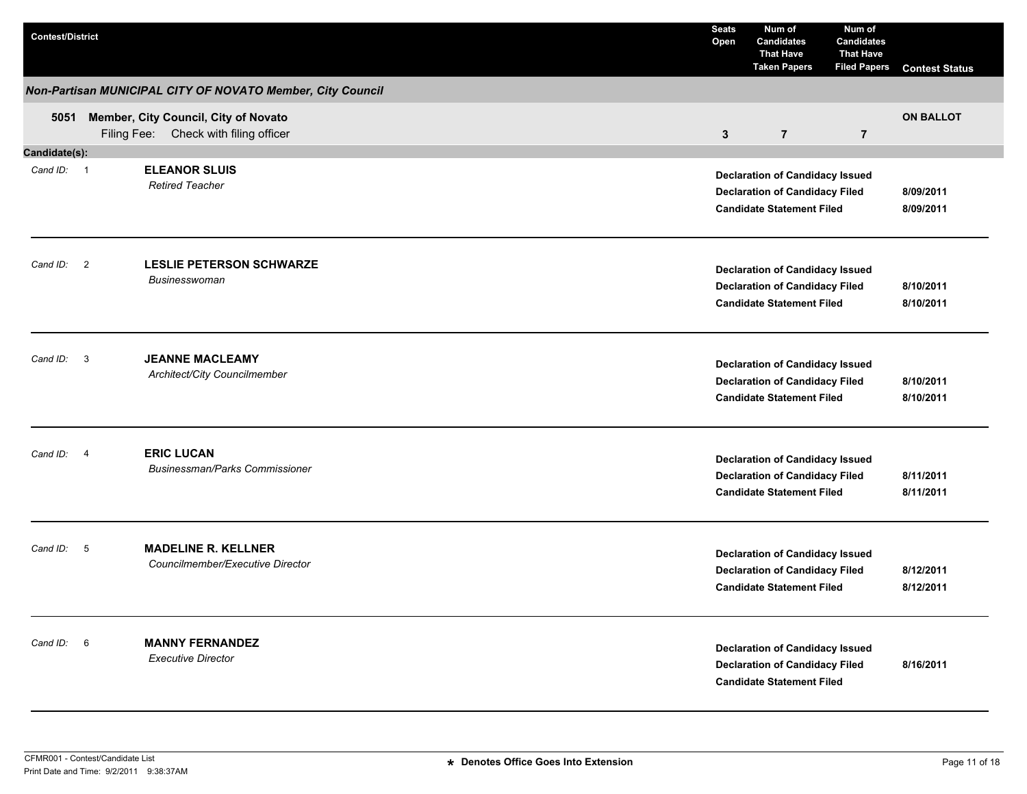| <b>Contest/District</b> |                |                                                                                    | <b>Seats</b><br>Open | Num of<br><b>Candidates</b><br><b>That Have</b><br><b>Taken Papers</b>                                              | Num of<br><b>Candidates</b><br><b>That Have</b><br><b>Filed Papers</b> | <b>Contest Status</b>  |
|-------------------------|----------------|------------------------------------------------------------------------------------|----------------------|---------------------------------------------------------------------------------------------------------------------|------------------------------------------------------------------------|------------------------|
|                         |                | Non-Partisan MUNICIPAL CITY OF NOVATO Member, City Council                         |                      |                                                                                                                     |                                                                        |                        |
|                         |                | 5051 Member, City Council, City of Novato<br>Filing Fee: Check with filing officer | $\mathbf{3}$         | $\overline{7}$                                                                                                      | $\overline{7}$                                                         | <b>ON BALLOT</b>       |
| Candidate(s):           |                |                                                                                    |                      |                                                                                                                     |                                                                        |                        |
| Cand ID: 1              |                | <b>ELEANOR SLUIS</b><br><b>Retired Teacher</b>                                     |                      | <b>Declaration of Candidacy Issued</b><br><b>Declaration of Candidacy Filed</b><br><b>Candidate Statement Filed</b> |                                                                        | 8/09/2011<br>8/09/2011 |
| Cand ID: 2              |                | <b>LESLIE PETERSON SCHWARZE</b><br>Businesswoman                                   |                      | <b>Declaration of Candidacy Issued</b><br><b>Declaration of Candidacy Filed</b><br><b>Candidate Statement Filed</b> |                                                                        | 8/10/2011<br>8/10/2011 |
| Cand ID: 3              |                | <b>JEANNE MACLEAMY</b><br>Architect/City Councilmember                             |                      | <b>Declaration of Candidacy Issued</b><br><b>Declaration of Candidacy Filed</b><br><b>Candidate Statement Filed</b> |                                                                        | 8/10/2011<br>8/10/2011 |
| Cand ID:                | $\overline{4}$ | <b>ERIC LUCAN</b><br><b>Businessman/Parks Commissioner</b>                         |                      | <b>Declaration of Candidacy Issued</b><br><b>Declaration of Candidacy Filed</b><br><b>Candidate Statement Filed</b> |                                                                        | 8/11/2011<br>8/11/2011 |
| Cand ID:                | 5              | <b>MADELINE R. KELLNER</b><br>Councilmember/Executive Director                     |                      | <b>Declaration of Candidacy Issued</b><br><b>Declaration of Candidacy Filed</b><br><b>Candidate Statement Filed</b> |                                                                        | 8/12/2011<br>8/12/2011 |
| Cand ID: 6              |                | <b>MANNY FERNANDEZ</b><br><b>Executive Director</b>                                |                      | <b>Declaration of Candidacy Issued</b><br><b>Declaration of Candidacy Filed</b><br><b>Candidate Statement Filed</b> |                                                                        | 8/16/2011              |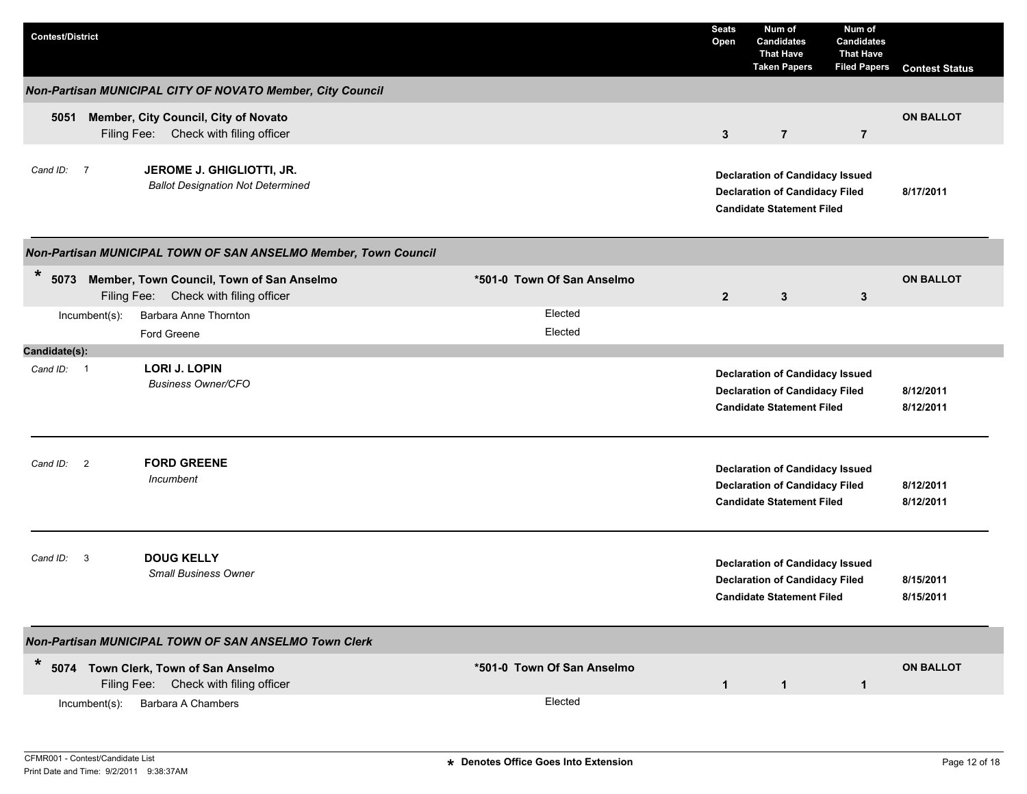| <b>Contest/District</b>                                                                         |                            | <b>Seats</b><br>Open | Num of<br><b>Candidates</b><br><b>That Have</b><br><b>Taken Papers</b>                                              | Num of<br><b>Candidates</b><br><b>That Have</b><br><b>Filed Papers</b> | <b>Contest Status</b>  |
|-------------------------------------------------------------------------------------------------|----------------------------|----------------------|---------------------------------------------------------------------------------------------------------------------|------------------------------------------------------------------------|------------------------|
| Non-Partisan MUNICIPAL CITY OF NOVATO Member, City Council                                      |                            |                      |                                                                                                                     |                                                                        |                        |
| Member, City Council, City of Novato<br>5051<br>Filing Fee: Check with filing officer           |                            | $\mathbf{3}$         | $\overline{7}$                                                                                                      | $\overline{7}$                                                         | <b>ON BALLOT</b>       |
| JEROME J. GHIGLIOTTI, JR.<br>Cand ID: 7<br><b>Ballot Designation Not Determined</b>             |                            |                      | <b>Declaration of Candidacy Issued</b><br><b>Declaration of Candidacy Filed</b><br><b>Candidate Statement Filed</b> |                                                                        | 8/17/2011              |
| Non-Partisan MUNICIPAL TOWN OF SAN ANSELMO Member, Town Council                                 |                            |                      |                                                                                                                     |                                                                        |                        |
| *<br>5073<br>Member, Town Council, Town of San Anselmo<br>Filing Fee: Check with filing officer | *501-0 Town Of San Anselmo | $\overline{2}$       | 3                                                                                                                   | 3                                                                      | <b>ON BALLOT</b>       |
| Barbara Anne Thornton<br>Incumbent(s):                                                          | Elected                    |                      |                                                                                                                     |                                                                        |                        |
| Ford Greene                                                                                     | Elected                    |                      |                                                                                                                     |                                                                        |                        |
| Candidate(s):                                                                                   |                            |                      |                                                                                                                     |                                                                        |                        |
| <b>LORI J. LOPIN</b><br>Cand ID: 1<br><b>Business Owner/CFO</b>                                 |                            |                      | <b>Declaration of Candidacy Issued</b><br><b>Declaration of Candidacy Filed</b><br><b>Candidate Statement Filed</b> |                                                                        | 8/12/2011<br>8/12/2011 |
| <b>FORD GREENE</b><br>$\overline{2}$<br>Cand ID:<br>Incumbent                                   |                            |                      | <b>Declaration of Candidacy Issued</b><br><b>Declaration of Candidacy Filed</b><br><b>Candidate Statement Filed</b> |                                                                        | 8/12/2011<br>8/12/2011 |
| <b>DOUG KELLY</b><br>Cand ID:<br>$\mathbf{3}$<br><b>Small Business Owner</b>                    |                            |                      | <b>Declaration of Candidacy Issued</b><br><b>Declaration of Candidacy Filed</b><br><b>Candidate Statement Filed</b> |                                                                        | 8/15/2011<br>8/15/2011 |
| Non-Partisan MUNICIPAL TOWN OF SAN ANSELMO Town Clerk                                           |                            |                      |                                                                                                                     |                                                                        |                        |
| *<br>5074 Town Clerk, Town of San Anselmo<br>Filing Fee: Check with filing officer              | *501-0 Town Of San Anselmo | $\mathbf{1}$         | $\mathbf{1}$                                                                                                        | $\mathbf{1}$                                                           | <b>ON BALLOT</b>       |
| Barbara A Chambers<br>$Incumbent(s)$ :                                                          | Elected                    |                      |                                                                                                                     |                                                                        |                        |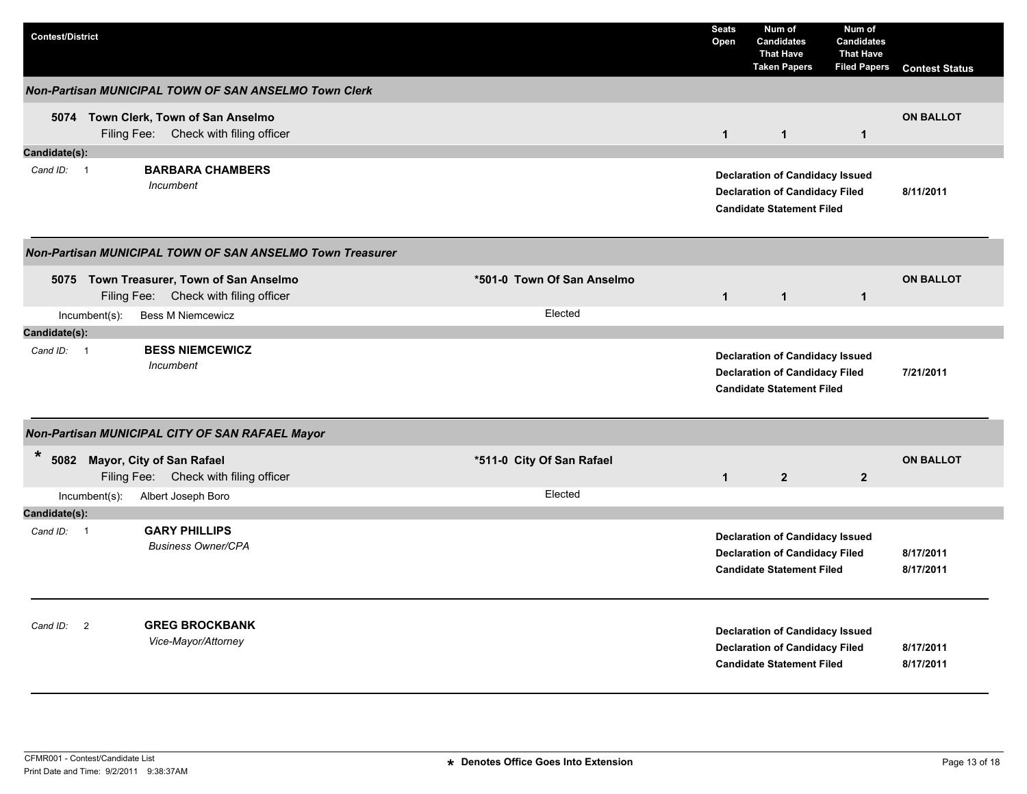| <b>Contest/District</b>    |                                                                               |                            | <b>Seats</b><br>Open | Num of<br><b>Candidates</b><br><b>That Have</b><br><b>Taken Papers</b>                                              | Num of<br><b>Candidates</b><br><b>That Have</b><br><b>Filed Papers</b> | <b>Contest Status</b>  |
|----------------------------|-------------------------------------------------------------------------------|----------------------------|----------------------|---------------------------------------------------------------------------------------------------------------------|------------------------------------------------------------------------|------------------------|
|                            | Non-Partisan MUNICIPAL TOWN OF SAN ANSELMO Town Clerk                         |                            |                      |                                                                                                                     |                                                                        |                        |
|                            | 5074 Town Clerk, Town of San Anselmo<br>Filing Fee: Check with filing officer |                            | $\mathbf{1}$         | $\mathbf{1}$                                                                                                        | $\mathbf{1}$                                                           | <b>ON BALLOT</b>       |
| Candidate(s):              |                                                                               |                            |                      |                                                                                                                     |                                                                        |                        |
| Cand ID: 1                 | <b>BARBARA CHAMBERS</b><br>Incumbent                                          |                            |                      | <b>Declaration of Candidacy Issued</b><br><b>Declaration of Candidacy Filed</b><br><b>Candidate Statement Filed</b> |                                                                        | 8/11/2011              |
|                            | Non-Partisan MUNICIPAL TOWN OF SAN ANSELMO Town Treasurer                     |                            |                      |                                                                                                                     |                                                                        |                        |
| Filing Fee:                | 5075 Town Treasurer, Town of San Anselmo<br>Check with filing officer         | *501-0 Town Of San Anselmo | $\overline{1}$       | $\mathbf{1}$                                                                                                        | $\mathbf{1}$                                                           | <b>ON BALLOT</b>       |
| $Incumbent(s)$ :           | <b>Bess M Niemcewicz</b>                                                      | Elected                    |                      |                                                                                                                     |                                                                        |                        |
| Candidate(s):              |                                                                               |                            |                      |                                                                                                                     |                                                                        |                        |
| Cand ID: 1                 | <b>BESS NIEMCEWICZ</b><br>Incumbent                                           |                            |                      | <b>Declaration of Candidacy Issued</b><br><b>Declaration of Candidacy Filed</b><br><b>Candidate Statement Filed</b> |                                                                        | 7/21/2011              |
|                            | Non-Partisan MUNICIPAL CITY OF SAN RAFAEL Mayor                               |                            |                      |                                                                                                                     |                                                                        |                        |
| $\ast$                     | 5082 Mayor, City of San Rafael<br>Filing Fee: Check with filing officer       | *511-0 City Of San Rafael  | $\mathbf{1}$         | $\overline{2}$                                                                                                      | $\mathbf{2}$                                                           | <b>ON BALLOT</b>       |
| $Incumbent(s)$ :           | Albert Joseph Boro                                                            | Elected                    |                      |                                                                                                                     |                                                                        |                        |
| Candidate(s):              |                                                                               |                            |                      |                                                                                                                     |                                                                        |                        |
| Cand ID: 1                 | <b>GARY PHILLIPS</b><br><b>Business Owner/CPA</b>                             |                            |                      | <b>Declaration of Candidacy Issued</b><br><b>Declaration of Candidacy Filed</b><br><b>Candidate Statement Filed</b> |                                                                        | 8/17/2011<br>8/17/2011 |
| Cand ID:<br>$\overline{2}$ | <b>GREG BROCKBANK</b><br>Vice-Mayor/Attorney                                  |                            |                      | <b>Declaration of Candidacy Issued</b><br><b>Declaration of Candidacy Filed</b><br><b>Candidate Statement Filed</b> |                                                                        | 8/17/2011<br>8/17/2011 |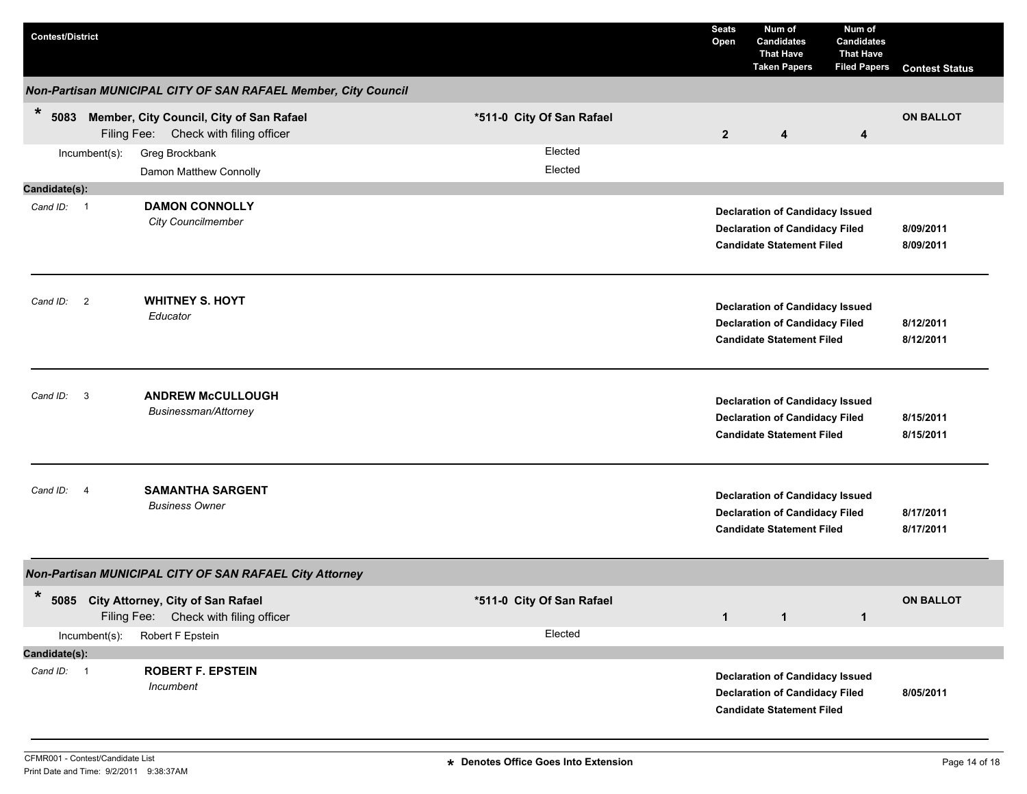| <b>Contest/District</b>                                        |                                                                                   |  |                           |  | <b>Seats</b><br>Open | Num of<br><b>Candidates</b><br><b>That Have</b><br><b>Taken Papers</b>                                              | Num of<br>Candidates<br><b>That Have</b><br><b>Filed Papers</b> | <b>Contest Status</b>  |
|----------------------------------------------------------------|-----------------------------------------------------------------------------------|--|---------------------------|--|----------------------|---------------------------------------------------------------------------------------------------------------------|-----------------------------------------------------------------|------------------------|
| Non-Partisan MUNICIPAL CITY OF SAN RAFAEL Member, City Council |                                                                                   |  |                           |  |                      |                                                                                                                     |                                                                 |                        |
| $\ast$<br>5083                                                 | Member, City Council, City of San Rafael<br>Filing Fee: Check with filing officer |  | *511-0 City Of San Rafael |  | $\overline{2}$       | 4                                                                                                                   | $\overline{\mathbf{4}}$                                         | <b>ON BALLOT</b>       |
| Incumbent(s):                                                  | Greg Brockbank<br>Damon Matthew Connolly                                          |  | Elected<br>Elected        |  |                      |                                                                                                                     |                                                                 |                        |
| Candidate(s):<br>Cand ID: 1                                    | <b>DAMON CONNOLLY</b><br><b>City Councilmember</b>                                |  |                           |  |                      | <b>Declaration of Candidacy Issued</b><br><b>Declaration of Candidacy Filed</b><br><b>Candidate Statement Filed</b> |                                                                 | 8/09/2011<br>8/09/2011 |
| Cand ID: 2                                                     | <b>WHITNEY S. HOYT</b><br>Educator                                                |  |                           |  |                      | <b>Declaration of Candidacy Issued</b><br><b>Declaration of Candidacy Filed</b><br><b>Candidate Statement Filed</b> |                                                                 | 8/12/2011<br>8/12/2011 |
| $\mathbf{3}$<br>Cand ID:                                       | <b>ANDREW McCULLOUGH</b><br>Businessman/Attorney                                  |  |                           |  |                      | <b>Declaration of Candidacy Issued</b><br><b>Declaration of Candidacy Filed</b><br><b>Candidate Statement Filed</b> |                                                                 | 8/15/2011<br>8/15/2011 |
| Cand ID: 4                                                     | <b>SAMANTHA SARGENT</b><br><b>Business Owner</b>                                  |  |                           |  |                      | <b>Declaration of Candidacy Issued</b><br><b>Declaration of Candidacy Filed</b><br><b>Candidate Statement Filed</b> |                                                                 | 8/17/2011<br>8/17/2011 |
|                                                                | Non-Partisan MUNICIPAL CITY OF SAN RAFAEL City Attorney                           |  |                           |  |                      |                                                                                                                     |                                                                 |                        |
| $\ast$                                                         | 5085 City Attorney, City of San Rafael<br>Filing Fee: Check with filing officer   |  | *511-0 City Of San Rafael |  | $\mathbf{1}$         | $\mathbf{1}$                                                                                                        | $\mathbf{1}$                                                    | <b>ON BALLOT</b>       |
| Incumbent(s):<br>Candidate(s):                                 | Robert F Epstein                                                                  |  | Elected                   |  |                      |                                                                                                                     |                                                                 |                        |
| Cand ID: 1                                                     | <b>ROBERT F. EPSTEIN</b><br>Incumbent                                             |  |                           |  |                      | <b>Declaration of Candidacy Issued</b><br><b>Declaration of Candidacy Filed</b><br><b>Candidate Statement Filed</b> |                                                                 | 8/05/2011              |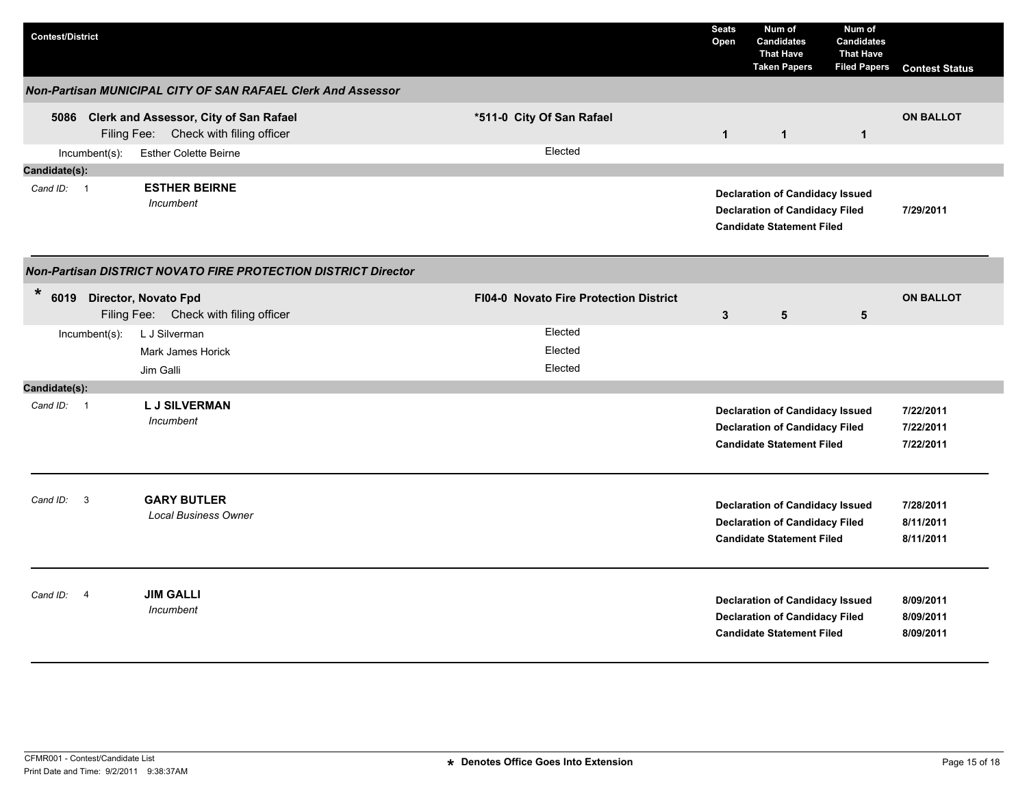| <b>Contest/District</b>                                                                |                                        | <b>Seats</b><br>Open | Num of<br><b>Candidates</b><br><b>That Have</b><br><b>Taken Papers</b>                                              | Num of<br><b>Candidates</b><br><b>That Have</b><br><b>Filed Papers</b> | <b>Contest Status</b> |
|----------------------------------------------------------------------------------------|----------------------------------------|----------------------|---------------------------------------------------------------------------------------------------------------------|------------------------------------------------------------------------|-----------------------|
| Non-Partisan MUNICIPAL CITY OF SAN RAFAEL Clerk And Assessor                           |                                        |                      |                                                                                                                     |                                                                        |                       |
| 5086 Clerk and Assessor, City of San Rafael<br>Filing Fee: Check with filing officer   | *511-0 City Of San Rafael              | $\mathbf{1}$         | $\mathbf{1}$                                                                                                        | $\mathbf{1}$                                                           | <b>ON BALLOT</b>      |
| $Incumbent(s)$ :<br><b>Esther Colette Beirne</b>                                       | Elected                                |                      |                                                                                                                     |                                                                        |                       |
| Candidate(s):                                                                          |                                        |                      |                                                                                                                     |                                                                        |                       |
| <b>ESTHER BEIRNE</b><br>Cand ID: 1<br>Incumbent                                        |                                        |                      | <b>Declaration of Candidacy Issued</b><br><b>Declaration of Candidacy Filed</b><br><b>Candidate Statement Filed</b> |                                                                        | 7/29/2011             |
| Non-Partisan DISTRICT NOVATO FIRE PROTECTION DISTRICT Director                         |                                        |                      |                                                                                                                     |                                                                        |                       |
| $\ast$<br>6019<br><b>Director, Novato Fpd</b><br>Filing Fee: Check with filing officer | FI04-0 Novato Fire Protection District | $\mathbf{3}$         | ${\bf 5}$                                                                                                           | 5                                                                      | <b>ON BALLOT</b>      |
| L J Silverman<br>Incumbent(s):                                                         | Elected                                |                      |                                                                                                                     |                                                                        |                       |
| Mark James Horick                                                                      | Elected                                |                      |                                                                                                                     |                                                                        |                       |
| Jim Galli                                                                              | Elected                                |                      |                                                                                                                     |                                                                        |                       |
| Candidate(s):                                                                          |                                        |                      |                                                                                                                     |                                                                        |                       |
| <b>LJ SILVERMAN</b><br>Cand $ID: 1$                                                    |                                        |                      | <b>Declaration of Candidacy Issued</b>                                                                              |                                                                        | 7/22/2011             |
| Incumbent                                                                              |                                        |                      | <b>Declaration of Candidacy Filed</b>                                                                               |                                                                        | 7/22/2011             |
|                                                                                        |                                        |                      | <b>Candidate Statement Filed</b>                                                                                    |                                                                        | 7/22/2011             |
| <b>GARY BUTLER</b><br>3<br>Cand ID:                                                    |                                        |                      |                                                                                                                     |                                                                        | 7/28/2011             |
| <b>Local Business Owner</b>                                                            |                                        |                      | <b>Declaration of Candidacy Issued</b><br><b>Declaration of Candidacy Filed</b>                                     |                                                                        | 8/11/2011             |
|                                                                                        |                                        |                      | <b>Candidate Statement Filed</b>                                                                                    |                                                                        | 8/11/2011             |
|                                                                                        |                                        |                      |                                                                                                                     |                                                                        |                       |
| <b>JIM GALLI</b><br>Cand ID:<br>$\overline{4}$                                         |                                        |                      | <b>Declaration of Candidacy Issued</b>                                                                              |                                                                        | 8/09/2011             |
| Incumbent                                                                              |                                        |                      | <b>Declaration of Candidacy Filed</b>                                                                               |                                                                        | 8/09/2011             |
|                                                                                        |                                        |                      | <b>Candidate Statement Filed</b>                                                                                    |                                                                        | 8/09/2011             |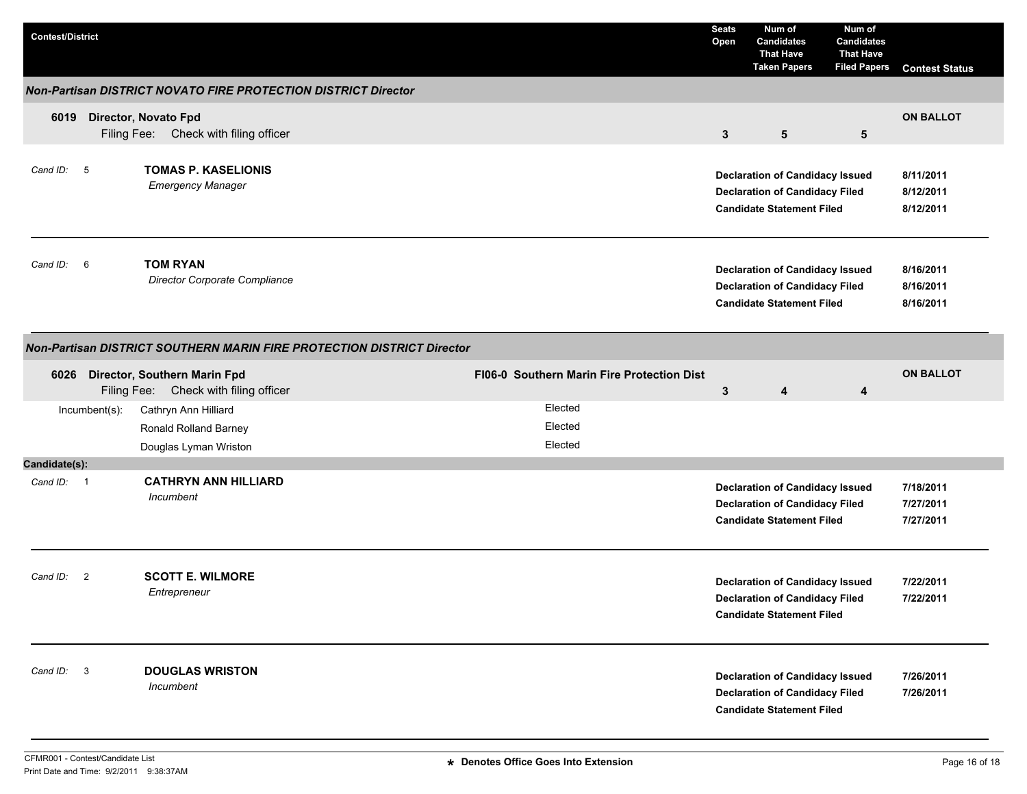| <b>Contest/District</b> |                                                                        |                                            | <b>Seats</b><br>Open | Num of<br><b>Candidates</b><br><b>That Have</b><br><b>Taken Papers</b>                                              | Num of<br><b>Candidates</b><br><b>That Have</b><br><b>Filed Papers</b> | <b>Contest Status</b>               |
|-------------------------|------------------------------------------------------------------------|--------------------------------------------|----------------------|---------------------------------------------------------------------------------------------------------------------|------------------------------------------------------------------------|-------------------------------------|
|                         | <b>Non-Partisan DISTRICT NOVATO FIRE PROTECTION DISTRICT Director</b>  |                                            |                      |                                                                                                                     |                                                                        |                                     |
| 6019                    | Director, Novato Fpd<br>Filing Fee: Check with filing officer          |                                            | $\mathbf{3}$         | $5\phantom{.0}$                                                                                                     | 5                                                                      | <b>ON BALLOT</b>                    |
| Cand ID: 5              | <b>TOMAS P. KASELIONIS</b><br><b>Emergency Manager</b>                 |                                            |                      | <b>Declaration of Candidacy Issued</b><br><b>Declaration of Candidacy Filed</b><br><b>Candidate Statement Filed</b> |                                                                        | 8/11/2011<br>8/12/2011<br>8/12/2011 |
| Cand ID: 6              | <b>TOM RYAN</b><br>Director Corporate Compliance                       |                                            |                      | <b>Declaration of Candidacy Issued</b><br><b>Declaration of Candidacy Filed</b><br><b>Candidate Statement Filed</b> |                                                                        | 8/16/2011<br>8/16/2011<br>8/16/2011 |
|                         | Non-Partisan DISTRICT SOUTHERN MARIN FIRE PROTECTION DISTRICT Director |                                            |                      |                                                                                                                     |                                                                        |                                     |
| 6026                    | Director, Southern Marin Fpd<br>Filing Fee: Check with filing officer  | FI06-0 Southern Marin Fire Protection Dist | $\mathbf{3}$         | 4                                                                                                                   | 4                                                                      | <b>ON BALLOT</b>                    |
| Incumbent(s):           | Cathryn Ann Hilliard<br>Ronald Rolland Barney<br>Douglas Lyman Wriston | Elected<br>Elected<br>Elected              |                      |                                                                                                                     |                                                                        |                                     |
| Candidate(s):           |                                                                        |                                            |                      |                                                                                                                     |                                                                        |                                     |
| Cand ID: 1              | <b>CATHRYN ANN HILLIARD</b><br>Incumbent                               |                                            |                      | <b>Declaration of Candidacy Issued</b><br><b>Declaration of Candidacy Filed</b><br><b>Candidate Statement Filed</b> |                                                                        | 7/18/2011<br>7/27/2011<br>7/27/2011 |
| Cand ID: 2              | <b>SCOTT E. WILMORE</b><br>Entrepreneur                                |                                            |                      | <b>Declaration of Candidacy Issued</b><br><b>Declaration of Candidacy Filed</b><br><b>Candidate Statement Filed</b> |                                                                        | 7/22/2011<br>7/22/2011              |
| Cand ID: 3              | <b>DOUGLAS WRISTON</b><br>Incumbent                                    |                                            |                      | <b>Declaration of Candidacy Issued</b><br><b>Declaration of Candidacy Filed</b><br><b>Candidate Statement Filed</b> |                                                                        | 7/26/2011<br>7/26/2011              |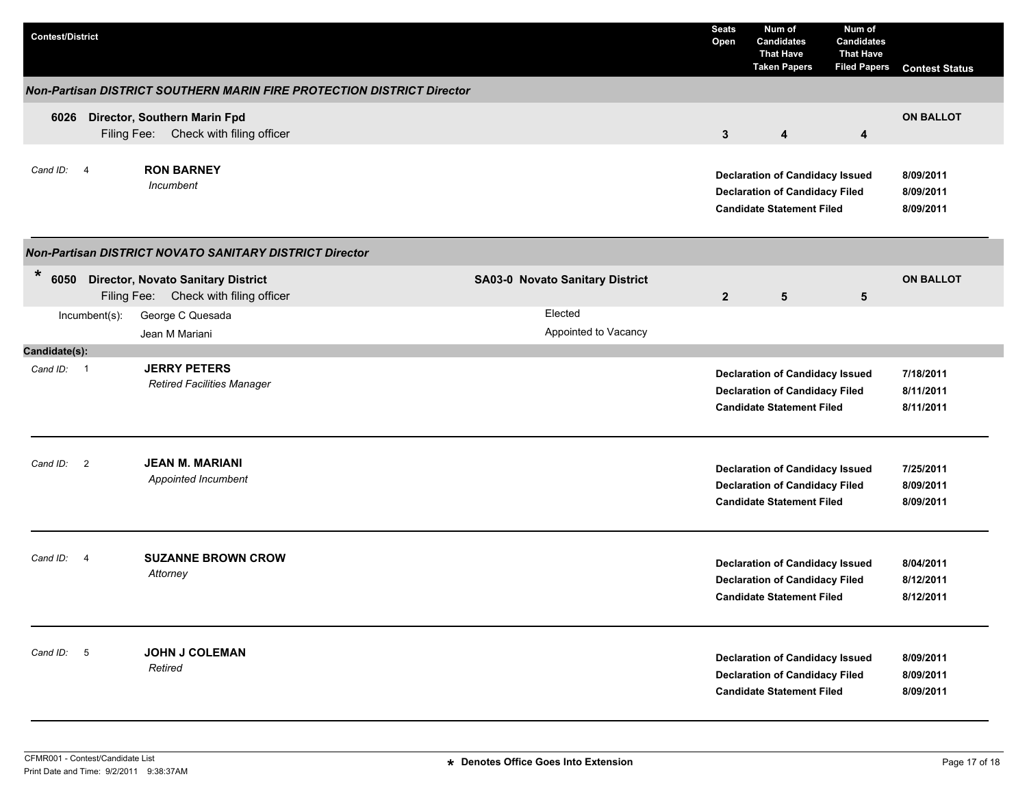| <b>Contest/District</b> |                |                                                                                  |  |                                 | <b>Seats</b><br>Open | Num of<br><b>Candidates</b><br><b>That Have</b><br><b>Taken Papers</b>                                              | Num of<br><b>Candidates</b><br><b>That Have</b><br><b>Filed Papers</b> | <b>Contest Status</b>               |
|-------------------------|----------------|----------------------------------------------------------------------------------|--|---------------------------------|----------------------|---------------------------------------------------------------------------------------------------------------------|------------------------------------------------------------------------|-------------------------------------|
|                         |                | Non-Partisan DISTRICT SOUTHERN MARIN FIRE PROTECTION DISTRICT Director           |  |                                 |                      |                                                                                                                     |                                                                        |                                     |
| 6026                    |                | Director, Southern Marin Fpd<br>Filing Fee: Check with filing officer            |  |                                 | 3                    | 4                                                                                                                   | 4                                                                      | <b>ON BALLOT</b>                    |
| Cand ID:                | $\overline{4}$ | <b>RON BARNEY</b><br>Incumbent                                                   |  |                                 |                      | <b>Declaration of Candidacy Issued</b><br><b>Declaration of Candidacy Filed</b><br><b>Candidate Statement Filed</b> |                                                                        | 8/09/2011<br>8/09/2011<br>8/09/2011 |
|                         |                | Non-Partisan DISTRICT NOVATO SANITARY DISTRICT Director                          |  |                                 |                      |                                                                                                                     |                                                                        |                                     |
| $\ast$                  |                | 6050 Director, Novato Sanitary District<br>Filing Fee: Check with filing officer |  | SA03-0 Novato Sanitary District | $\overline{2}$       | 5                                                                                                                   | 5                                                                      | <b>ON BALLOT</b>                    |
|                         | Incumbent(s):  | George C Quesada<br>Jean M Mariani                                               |  | Elected<br>Appointed to Vacancy |                      |                                                                                                                     |                                                                        |                                     |
| Candidate(s):           |                |                                                                                  |  |                                 |                      |                                                                                                                     |                                                                        |                                     |
| Cand ID: 1              |                | <b>JERRY PETERS</b><br><b>Retired Facilities Manager</b>                         |  |                                 |                      | <b>Declaration of Candidacy Issued</b><br><b>Declaration of Candidacy Filed</b><br><b>Candidate Statement Filed</b> |                                                                        | 7/18/2011<br>8/11/2011<br>8/11/2011 |
| Cand ID:                | $\overline{2}$ | <b>JEAN M. MARIANI</b><br>Appointed Incumbent                                    |  |                                 |                      | <b>Declaration of Candidacy Issued</b><br><b>Declaration of Candidacy Filed</b><br><b>Candidate Statement Filed</b> |                                                                        | 7/25/2011<br>8/09/2011<br>8/09/2011 |
| Cand ID:                | $\overline{4}$ | <b>SUZANNE BROWN CROW</b><br>Attorney                                            |  |                                 |                      | <b>Declaration of Candidacy Issued</b><br><b>Declaration of Candidacy Filed</b><br><b>Candidate Statement Filed</b> |                                                                        | 8/04/2011<br>8/12/2011<br>8/12/2011 |
| Cand ID: 5              |                | <b>JOHN J COLEMAN</b><br>Retired                                                 |  |                                 |                      | <b>Declaration of Candidacy Issued</b><br><b>Declaration of Candidacy Filed</b><br><b>Candidate Statement Filed</b> |                                                                        | 8/09/2011<br>8/09/2011<br>8/09/2011 |